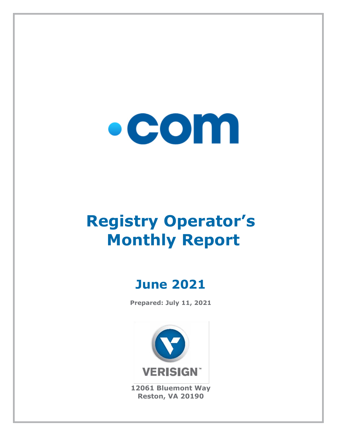

# **Registry Operator's Monthly Report**

# **June 2021**

**Prepared: July 11, 2021**



**12061 Bluemont Way Reston, VA 20190**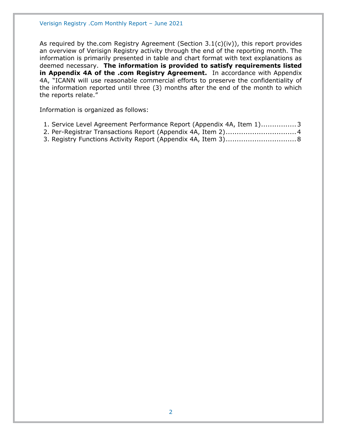As required by the.com Registry Agreement (Section 3.1(c)(iv)), this report provides an overview of Verisign Registry activity through the end of the reporting month. The information is primarily presented in table and chart format with text explanations as deemed necessary. **The information is provided to satisfy requirements listed in Appendix 4A of the .com Registry Agreement.** In accordance with Appendix 4A, "ICANN will use reasonable commercial efforts to preserve the confidentiality of the information reported until three (3) months after the end of the month to which the reports relate."

Information is organized as follows:

| 1. Service Level Agreement Performance Report (Appendix 4A, Item 1)3 |  |  |
|----------------------------------------------------------------------|--|--|
|----------------------------------------------------------------------|--|--|

- [2. Per-Registrar Transactions Report \(Appendix 4A, Item 2\)................................4](#page-3-0)
- [3. Registry Functions Activity Report \(Appendix 4A, Item 3\)................................8](#page-7-0)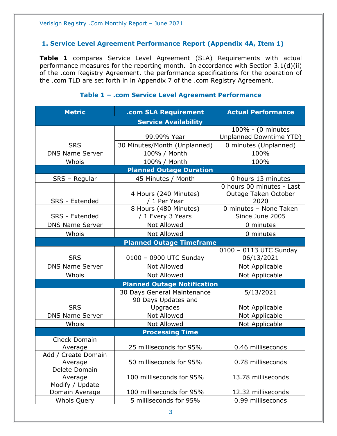#### <span id="page-2-0"></span>**1. Service Level Agreement Performance Report (Appendix 4A, Item 1)**

**Table 1** compares Service Level Agreement (SLA) Requirements with actual performance measures for the reporting month. In accordance with Section 3.1(d)(ii) of the .com Registry Agreement, the performance specifications for the operation of the .com TLD are set forth in in Appendix 7 of the .com Registry Agreement.

| <b>Metric</b>                  | .com SLA Requirement                       | <b>Actual Performance</b>                         |
|--------------------------------|--------------------------------------------|---------------------------------------------------|
|                                | <b>Service Availability</b>                |                                                   |
|                                |                                            | 100% - (0 minutes                                 |
|                                | 99.99% Year                                | <b>Unplanned Downtime YTD)</b>                    |
| <b>SRS</b>                     | 30 Minutes/Month (Unplanned)               | 0 minutes (Unplanned)                             |
| <b>DNS Name Server</b>         | 100% / Month                               | 100%                                              |
| Whois                          | 100% / Month                               | 100%                                              |
|                                | <b>Planned Outage Duration</b>             |                                                   |
| SRS - Regular                  | 45 Minutes / Month                         | 0 hours 13 minutes                                |
|                                | 4 Hours (240 Minutes)                      | 0 hours 00 minutes - Last<br>Outage Taken October |
| SRS - Extended                 | / 1 Per Year                               | 2020                                              |
| <b>SRS - Extended</b>          | 8 Hours (480 Minutes)<br>/ 1 Every 3 Years | 0 minutes - None Taken<br>Since June 2005         |
| <b>DNS Name Server</b>         | <b>Not Allowed</b>                         | 0 minutes                                         |
| Whois                          | <b>Not Allowed</b>                         | 0 minutes                                         |
|                                | <b>Planned Outage Timeframe</b>            |                                                   |
|                                |                                            | 0100 - 0113 UTC Sunday                            |
| <b>SRS</b>                     | 0100 - 0900 UTC Sunday                     | 06/13/2021                                        |
| <b>DNS Name Server</b>         | <b>Not Allowed</b>                         | Not Applicable                                    |
| Whois                          | Not Allowed                                | Not Applicable                                    |
|                                | <b>Planned Outage Notification</b>         |                                                   |
|                                | 30 Days General Maintenance                | 5/13/2021                                         |
|                                | 90 Days Updates and                        |                                                   |
| <b>SRS</b>                     | Upgrades                                   | Not Applicable                                    |
| <b>DNS Name Server</b>         | Not Allowed                                | Not Applicable                                    |
| Whois                          | <b>Not Allowed</b>                         | Not Applicable                                    |
|                                | <b>Processing Time</b>                     |                                                   |
| <b>Check Domain</b>            |                                            |                                                   |
| Average                        | 25 milliseconds for 95%                    | 0.46 milliseconds                                 |
| Add / Create Domain<br>Average | 50 milliseconds for 95%                    | 0.78 milliseconds                                 |
| Delete Domain                  |                                            |                                                   |
| Average                        | 100 milliseconds for 95%                   | 13.78 milliseconds                                |
| Modify / Update                |                                            |                                                   |
| Domain Average                 | 100 milliseconds for 95%                   | 12.32 milliseconds                                |
| <b>Whois Query</b>             | 5 milliseconds for 95%                     | 0.99 milliseconds                                 |

#### **Table 1 – .com Service Level Agreement Performance**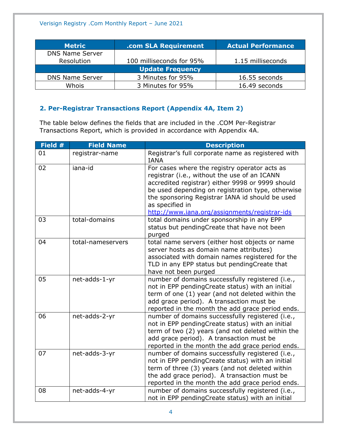| <b>Metric</b>          | .com SLA Requirement     | <b>Actual Performance</b> |
|------------------------|--------------------------|---------------------------|
| <b>DNS Name Server</b> |                          |                           |
| Resolution             | 100 milliseconds for 95% | 1.15 milliseconds         |
|                        | <b>Update Frequency</b>  |                           |
| <b>DNS Name Server</b> | 3 Minutes for 95%        | 16.55 seconds             |
| Whois                  | 3 Minutes for 95%        | 16.49 seconds             |

# <span id="page-3-0"></span>**2. Per-Registrar Transactions Report (Appendix 4A, Item 2)**

The table below defines the fields that are included in the .COM Per-Registrar Transactions Report, which is provided in accordance with Appendix 4A.

| Field # | <b>Field Name</b> | <b>Description</b>                                                                                                                                                                                                                                                                                                            |
|---------|-------------------|-------------------------------------------------------------------------------------------------------------------------------------------------------------------------------------------------------------------------------------------------------------------------------------------------------------------------------|
| 01      | registrar-name    | Registrar's full corporate name as registered with<br><b>IANA</b>                                                                                                                                                                                                                                                             |
| 02      | iana-id           | For cases where the registry operator acts as<br>registrar (i.e., without the use of an ICANN<br>accredited registrar) either 9998 or 9999 should<br>be used depending on registration type, otherwise<br>the sponsoring Registrar IANA id should be used<br>as specified in<br>http://www.iana.org/assignments/registrar-ids |
| 03      | total-domains     | total domains under sponsorship in any EPP<br>status but pendingCreate that have not been<br>purged                                                                                                                                                                                                                           |
| 04      | total-nameservers | total name servers (either host objects or name<br>server hosts as domain name attributes)<br>associated with domain names registered for the<br>TLD in any EPP status but pendingCreate that<br>have not been purged                                                                                                         |
| 05      | net-adds-1-yr     | number of domains successfully registered (i.e.,<br>not in EPP pendingCreate status) with an initial<br>term of one (1) year (and not deleted within the<br>add grace period). A transaction must be<br>reported in the month the add grace period ends.                                                                      |
| 06      | net-adds-2-yr     | number of domains successfully registered (i.e.,<br>not in EPP pendingCreate status) with an initial<br>term of two (2) years (and not deleted within the<br>add grace period). A transaction must be<br>reported in the month the add grace period ends.                                                                     |
| 07      | net-adds-3-yr     | number of domains successfully registered (i.e.,<br>not in EPP pendingCreate status) with an initial<br>term of three (3) years (and not deleted within<br>the add grace period). A transaction must be<br>reported in the month the add grace period ends.                                                                   |
| 08      | net-adds-4-yr     | number of domains successfully registered (i.e.,<br>not in EPP pendingCreate status) with an initial                                                                                                                                                                                                                          |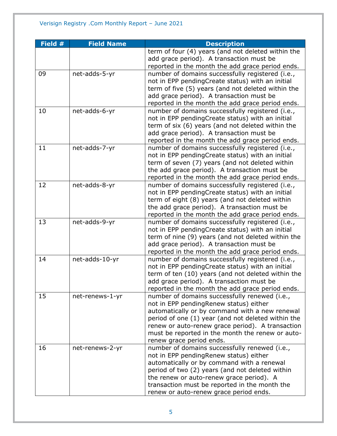| Field # | <b>Field Name</b> | <b>Description</b>                                                                       |
|---------|-------------------|------------------------------------------------------------------------------------------|
|         |                   | term of four (4) years (and not deleted within the                                       |
|         |                   | add grace period). A transaction must be                                                 |
|         |                   | reported in the month the add grace period ends.                                         |
| 09      | net-adds-5-yr     | number of domains successfully registered (i.e.,                                         |
|         |                   | not in EPP pendingCreate status) with an initial                                         |
|         |                   | term of five (5) years (and not deleted within the                                       |
|         |                   | add grace period). A transaction must be                                                 |
|         |                   | reported in the month the add grace period ends.                                         |
| 10      | net-adds-6-yr     | number of domains successfully registered (i.e.,                                         |
|         |                   | not in EPP pendingCreate status) with an initial                                         |
|         |                   | term of six (6) years (and not deleted within the                                        |
|         |                   | add grace period). A transaction must be                                                 |
|         |                   | reported in the month the add grace period ends.                                         |
| 11      | net-adds-7-yr     | number of domains successfully registered (i.e.,                                         |
|         |                   | not in EPP pendingCreate status) with an initial                                         |
|         |                   | term of seven (7) years (and not deleted within                                          |
|         |                   | the add grace period). A transaction must be                                             |
|         |                   | reported in the month the add grace period ends.                                         |
| 12      | net-adds-8-yr     | number of domains successfully registered (i.e.,                                         |
|         |                   | not in EPP pendingCreate status) with an initial                                         |
|         |                   | term of eight (8) years (and not deleted within                                          |
|         |                   | the add grace period). A transaction must be                                             |
|         |                   | reported in the month the add grace period ends.                                         |
| 13      | net-adds-9-yr     | number of domains successfully registered (i.e.,                                         |
|         |                   | not in EPP pendingCreate status) with an initial                                         |
|         |                   | term of nine (9) years (and not deleted within the                                       |
|         |                   | add grace period). A transaction must be                                                 |
|         |                   | reported in the month the add grace period ends.                                         |
| 14      | net-adds-10-yr    | number of domains successfully registered (i.e.,                                         |
|         |                   | not in EPP pendingCreate status) with an initial                                         |
|         |                   | term of ten (10) years (and not deleted within the                                       |
|         |                   | add grace period). A transaction must be                                                 |
| 15      |                   | reported in the month the add grace period ends.                                         |
|         | net-renews-1-yr   | number of domains successfully renewed (i.e.,                                            |
|         |                   | not in EPP pendingRenew status) either<br>automatically or by command with a new renewal |
|         |                   | period of one (1) year (and not deleted within the                                       |
|         |                   | renew or auto-renew grace period). A transaction                                         |
|         |                   | must be reported in the month the renew or auto-                                         |
|         |                   | renew grace period ends.                                                                 |
| 16      | net-renews-2-yr   | number of domains successfully renewed (i.e.,                                            |
|         |                   | not in EPP pendingRenew status) either                                                   |
|         |                   | automatically or by command with a renewal                                               |
|         |                   | period of two (2) years (and not deleted within                                          |
|         |                   | the renew or auto-renew grace period). A                                                 |
|         |                   | transaction must be reported in the month the                                            |
|         |                   | renew or auto-renew grace period ends.                                                   |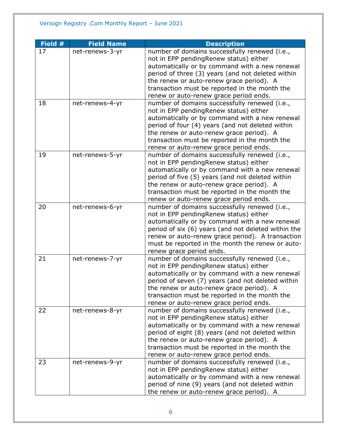| Field # | <b>Field Name</b> | <b>Description</b>                                  |
|---------|-------------------|-----------------------------------------------------|
| 17      | net-renews-3-yr   | number of domains successfully renewed (i.e.,       |
|         |                   | not in EPP pendingRenew status) either              |
|         |                   | automatically or by command with a new renewal      |
|         |                   | period of three (3) years (and not deleted within   |
|         |                   | the renew or auto-renew grace period). A            |
|         |                   | transaction must be reported in the month the       |
|         |                   | renew or auto-renew grace period ends.              |
| 18      | net-renews-4-yr   | number of domains successfully renewed (i.e.,       |
|         |                   | not in EPP pendingRenew status) either              |
|         |                   | automatically or by command with a new renewal      |
|         |                   | period of four (4) years (and not deleted within    |
|         |                   | the renew or auto-renew grace period). A            |
|         |                   | transaction must be reported in the month the       |
|         |                   | renew or auto-renew grace period ends.              |
| 19      | net-renews-5-yr   | number of domains successfully renewed (i.e.,       |
|         |                   | not in EPP pendingRenew status) either              |
|         |                   | automatically or by command with a new renewal      |
|         |                   | period of five (5) years (and not deleted within    |
|         |                   | the renew or auto-renew grace period). A            |
|         |                   | transaction must be reported in the month the       |
|         |                   | renew or auto-renew grace period ends.              |
| 20      | net-renews-6-yr   | number of domains successfully renewed (i.e.,       |
|         |                   | not in EPP pendingRenew status) either              |
|         |                   | automatically or by command with a new renewal      |
|         |                   | period of six (6) years (and not deleted within the |
|         |                   | renew or auto-renew grace period). A transaction    |
|         |                   | must be reported in the month the renew or auto-    |
|         |                   | renew grace period ends.                            |
| 21      | net-renews-7-yr   | number of domains successfully renewed (i.e.,       |
|         |                   | not in EPP pendingRenew status) either              |
|         |                   | automatically or by command with a new renewal      |
|         |                   | period of seven (7) years (and not deleted within   |
|         |                   | the renew or auto-renew grace period). A            |
|         |                   | transaction must be reported in the month the       |
|         |                   | renew or auto-renew grace period ends.              |
| 22      | net-renews-8-yr   | number of domains successfully renewed (i.e.,       |
|         |                   | not in EPP pendingRenew status) either              |
|         |                   | automatically or by command with a new renewal      |
|         |                   | period of eight (8) years (and not deleted within   |
|         |                   | the renew or auto-renew grace period). A            |
|         |                   | transaction must be reported in the month the       |
|         |                   | renew or auto-renew grace period ends.              |
| 23      | net-renews-9-yr   | number of domains successfully renewed (i.e.,       |
|         |                   | not in EPP pendingRenew status) either              |
|         |                   | automatically or by command with a new renewal      |
|         |                   | period of nine (9) years (and not deleted within    |
|         |                   | the renew or auto-renew grace period). A            |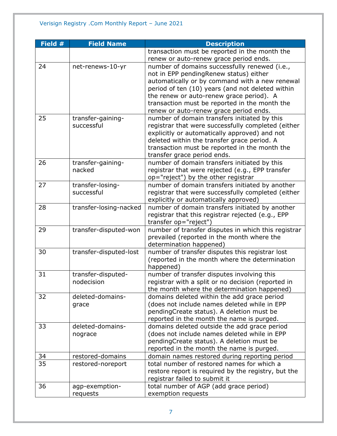| Field # | <b>Field Name</b>      | <b>Description</b>                                  |
|---------|------------------------|-----------------------------------------------------|
|         |                        | transaction must be reported in the month the       |
|         |                        | renew or auto-renew grace period ends.              |
| 24      | net-renews-10-yr       | number of domains successfully renewed (i.e.,       |
|         |                        | not in EPP pendingRenew status) either              |
|         |                        | automatically or by command with a new renewal      |
|         |                        | period of ten (10) years (and not deleted within    |
|         |                        | the renew or auto-renew grace period). A            |
|         |                        | transaction must be reported in the month the       |
|         |                        | renew or auto-renew grace period ends.              |
| 25      | transfer-gaining-      | number of domain transfers initiated by this        |
|         | successful             | registrar that were successfully completed (either  |
|         |                        | explicitly or automatically approved) and not       |
|         |                        | deleted within the transfer grace period. A         |
|         |                        | transaction must be reported in the month the       |
|         |                        | transfer grace period ends.                         |
| 26      | transfer-gaining-      | number of domain transfers initiated by this        |
|         | nacked                 | registrar that were rejected (e.g., EPP transfer    |
|         |                        | op="reject") by the other registrar                 |
| 27      | transfer-losing-       | number of domain transfers initiated by another     |
|         | successful             | registrar that were successfully completed (either  |
|         |                        | explicitly or automatically approved)               |
| 28      | transfer-losing-nacked | number of domain transfers initiated by another     |
|         |                        | registrar that this registrar rejected (e.g., EPP   |
|         |                        | transfer op="reject")                               |
| 29      | transfer-disputed-won  | number of transfer disputes in which this registrar |
|         |                        | prevailed (reported in the month where the          |
|         |                        | determination happened)                             |
| 30      | transfer-disputed-lost | number of transfer disputes this registrar lost     |
|         |                        | (reported in the month where the determination      |
|         |                        | happened)                                           |
| 31      | transfer-disputed-     | number of transfer disputes involving this          |
|         | nodecision             | registrar with a split or no decision (reported in  |
|         |                        | the month where the determination happened)         |
| 32      | deleted-domains-       | domains deleted within the add grace period         |
|         | grace                  | (does not include names deleted while in EPP        |
|         |                        | pendingCreate status). A deletion must be           |
|         |                        | reported in the month the name is purged.           |
| 33      | deleted-domains-       | domains deleted outside the add grace period        |
|         | nograce                | (does not include names deleted while in EPP        |
|         |                        | pendingCreate status). A deletion must be           |
|         |                        | reported in the month the name is purged.           |
| 34      | restored-domains       | domain names restored during reporting period       |
| 35      | restored-noreport      | total number of restored names for which a          |
|         |                        | restore report is required by the registry, but the |
|         |                        | registrar failed to submit it                       |
| 36      | agp-exemption-         | total number of AGP (add grace period)              |
|         | requests               | exemption requests                                  |
|         |                        |                                                     |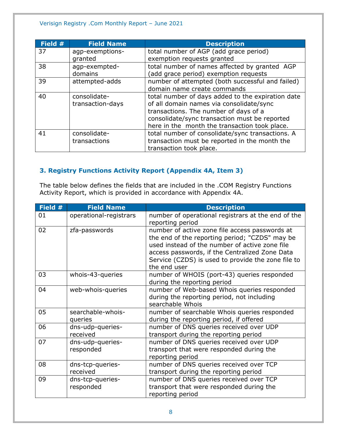| Field # | <b>Field Name</b> | <b>Description</b>                                |
|---------|-------------------|---------------------------------------------------|
| 37      | agp-exemptions-   | total number of AGP (add grace period)            |
|         | granted           | exemption requests granted                        |
| 38      | agp-exempted-     | total number of names affected by granted AGP     |
|         | domains           | (add grace period) exemption requests             |
| 39      | attempted-adds    | number of attempted (both successful and failed)  |
|         |                   | domain name create commands                       |
| 40      | consolidate-      | total number of days added to the expiration date |
|         | transaction-days  | of all domain names via consolidate/sync          |
|         |                   | transactions. The number of days of a             |
|         |                   | consolidate/sync transaction must be reported     |
|         |                   | here in the month the transaction took place.     |
| 41      | consolidate-      | total number of consolidate/sync transactions. A  |
|         | transactions      | transaction must be reported in the month the     |
|         |                   | transaction took place.                           |

# <span id="page-7-0"></span>**3. Registry Functions Activity Report (Appendix 4A, Item 3)**

The table below defines the fields that are included in the .COM Registry Functions Activity Report, which is provided in accordance with Appendix 4A.

| Field # | <b>Field Name</b>             | <b>Description</b>                                                                                                                                                                                                                                                         |
|---------|-------------------------------|----------------------------------------------------------------------------------------------------------------------------------------------------------------------------------------------------------------------------------------------------------------------------|
| 01      | operational-registrars        | number of operational registrars at the end of the<br>reporting period                                                                                                                                                                                                     |
| 02      | zfa-passwords                 | number of active zone file access passwords at<br>the end of the reporting period; "CZDS" may be<br>used instead of the number of active zone file<br>access passwords, if the Centralized Zone Data<br>Service (CZDS) is used to provide the zone file to<br>the end user |
| 03      | whois-43-queries              | number of WHOIS (port-43) queries responded<br>during the reporting period                                                                                                                                                                                                 |
| 04      | web-whois-queries             | number of Web-based Whois queries responded<br>during the reporting period, not including<br>searchable Whois                                                                                                                                                              |
| 05      | searchable-whois-<br>queries  | number of searchable Whois queries responded<br>during the reporting period, if offered                                                                                                                                                                                    |
| 06      | dns-udp-queries-<br>received  | number of DNS queries received over UDP<br>transport during the reporting period                                                                                                                                                                                           |
| 07      | dns-udp-queries-<br>responded | number of DNS queries received over UDP<br>transport that were responded during the<br>reporting period                                                                                                                                                                    |
| 08      | dns-tcp-queries-<br>received  | number of DNS queries received over TCP<br>transport during the reporting period                                                                                                                                                                                           |
| 09      | dns-tcp-queries-<br>responded | number of DNS queries received over TCP<br>transport that were responded during the<br>reporting period                                                                                                                                                                    |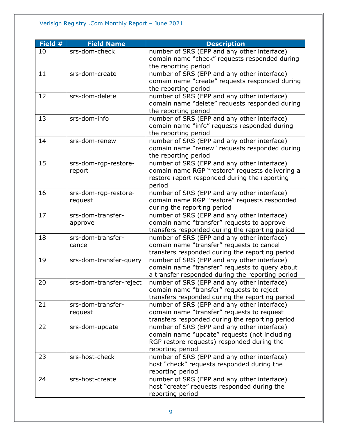| Field # | <b>Field Name</b>       | <b>Description</b>                               |
|---------|-------------------------|--------------------------------------------------|
| 10      | srs-dom-check           | number of SRS (EPP and any other interface)      |
|         |                         | domain name "check" requests responded during    |
|         |                         | the reporting period                             |
| 11      | srs-dom-create          | number of SRS (EPP and any other interface)      |
|         |                         | domain name "create" requests responded during   |
|         |                         | the reporting period                             |
| 12      | srs-dom-delete          | number of SRS (EPP and any other interface)      |
|         |                         | domain name "delete" requests responded during   |
|         |                         | the reporting period                             |
| 13      | srs-dom-info            | number of SRS (EPP and any other interface)      |
|         |                         | domain name "info" requests responded during     |
|         |                         | the reporting period                             |
| 14      | srs-dom-renew           | number of SRS (EPP and any other interface)      |
|         |                         | domain name "renew" requests responded during    |
|         |                         | the reporting period                             |
| 15      | srs-dom-rgp-restore-    | number of SRS (EPP and any other interface)      |
|         | report                  | domain name RGP "restore" requests delivering a  |
|         |                         | restore report responded during the reporting    |
|         |                         | period                                           |
| 16      | srs-dom-rgp-restore-    | number of SRS (EPP and any other interface)      |
|         | request                 | domain name RGP "restore" requests responded     |
|         |                         | during the reporting period                      |
| 17      | srs-dom-transfer-       | number of SRS (EPP and any other interface)      |
|         | approve                 | domain name "transfer" requests to approve       |
|         |                         | transfers responded during the reporting period  |
| 18      | srs-dom-transfer-       | number of SRS (EPP and any other interface)      |
|         | cancel                  | domain name "transfer" requests to cancel        |
|         |                         | transfers responded during the reporting period  |
| 19      | srs-dom-transfer-query  | number of SRS (EPP and any other interface)      |
|         |                         | domain name "transfer" requests to query about   |
|         |                         | a transfer responded during the reporting period |
| 20      | srs-dom-transfer-reject | number of SRS (EPP and any other interface)      |
|         |                         | domain name "transfer" requests to reject        |
|         |                         | transfers responded during the reporting period  |
| 21      | srs-dom-transfer-       | number of SRS (EPP and any other interface)      |
|         | request                 | domain name "transfer" requests to request       |
|         |                         | transfers responded during the reporting period  |
| 22      | srs-dom-update          | number of SRS (EPP and any other interface)      |
|         |                         | domain name "update" requests (not including     |
|         |                         | RGP restore requests) responded during the       |
|         |                         | reporting period                                 |
| 23      | srs-host-check          | number of SRS (EPP and any other interface)      |
|         |                         | host "check" requests responded during the       |
|         |                         | reporting period                                 |
| 24      | srs-host-create         | number of SRS (EPP and any other interface)      |
|         |                         | host "create" requests responded during the      |
|         |                         | reporting period                                 |